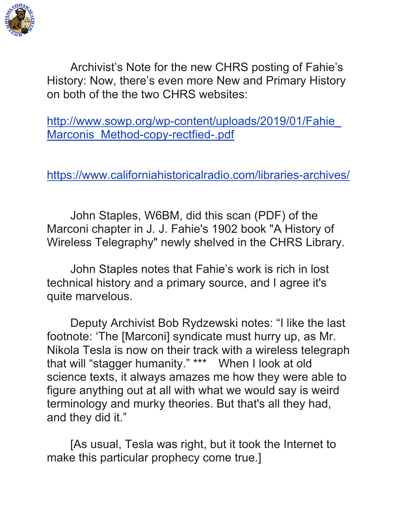

Archivist's Note for the new CHRS posting of Fahie's History: Now, there's even more New and Primary History on both of the the two CHRS websites:

http://www.sowp.org/wp-content/uploads/2019/01/Fahie\_ Marconis Method-copy-rectfied-.pdf

https://www.californiahistoricalradio.com/libraries-archives/

John Staples, W6BM, did this scan (PDF) of the Marconi chapter in J. J. Fahie's 1902 book "A History of Wireless Telegraphy" newly shelved in the CHRS Library.

John Staples notes that Fahie's work is rich in lost technical history and a primary source, and I agree it's quite marvelous.

Deputy Archivist Bob Rydzewski notes: "I like the last footnote: 'The [Marconi] syndicate must hurry up, as Mr. Nikola Tesla is now on their track with a wireless telegraph that will "stagger humanity." \*\*\* When I look at old science texts, it always amazes me how they were able to figure anything out at all with what we would say is weird terminology and murky theories. But that's all they had, and they did it."

[As usual, Tesla was right, but it took the Internet to make this particular prophecy come true.]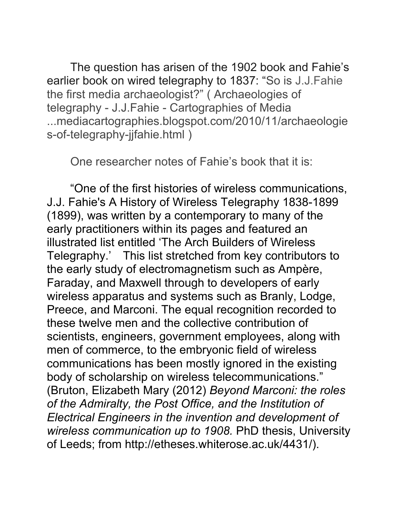The question has arisen of the 1902 book and Fahie's earlier book on wired telegraphy to 1837: "So is J.J.Fahie the first media archaeologist?" ( Archaeologies of telegraphy - J.J.Fahie - Cartographies of Media ...mediacartographies.blogspot.com/2010/11/archaeologie s-of-telegraphy-jjfahie.html )

One researcher notes of Fahie's book that it is:

"One of the first histories of wireless communications, J.J. Fahie's A History of Wireless Telegraphy 1838-1899 (1899), was written by a contemporary to many of the early practitioners within its pages and featured an illustrated list entitled 'The Arch Builders of Wireless Telegraphy.' This list stretched from key contributors to the early study of electromagnetism such as Ampère, Faraday, and Maxwell through to developers of early wireless apparatus and systems such as Branly, Lodge, Preece, and Marconi. The equal recognition recorded to these twelve men and the collective contribution of scientists, engineers, government employees, along with men of commerce, to the embryonic field of wireless communications has been mostly ignored in the existing body of scholarship on wireless telecommunications." (Bruton, Elizabeth Mary (2012) *Beyond Marconi: the roles of the Admiralty, the Post Office, and the Institution of Electrical Engineers in the invention and development of wireless communication up to 1908.* PhD thesis, University of Leeds; from http://etheses.whiterose.ac.uk/4431/).